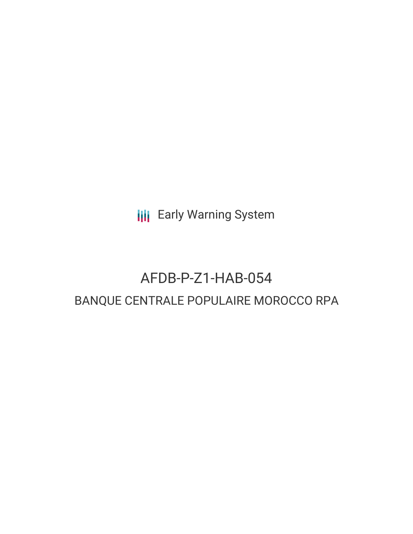**III** Early Warning System

# AFDB-P-Z1-HAB-054 BANQUE CENTRALE POPULAIRE MOROCCO RPA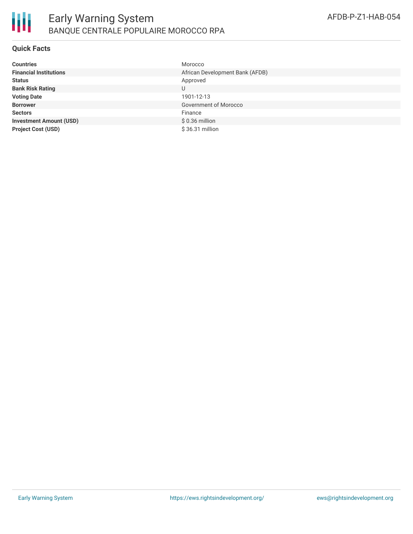

#### **Quick Facts**

| <b>Countries</b>               | Morocco                         |
|--------------------------------|---------------------------------|
| <b>Financial Institutions</b>  | African Development Bank (AFDB) |
| <b>Status</b>                  | Approved                        |
| <b>Bank Risk Rating</b>        | U                               |
| <b>Voting Date</b>             | 1901-12-13                      |
| <b>Borrower</b>                | Government of Morocco           |
| <b>Sectors</b>                 | Finance                         |
| <b>Investment Amount (USD)</b> | $$0.36$ million                 |
| <b>Project Cost (USD)</b>      | \$36.31 million                 |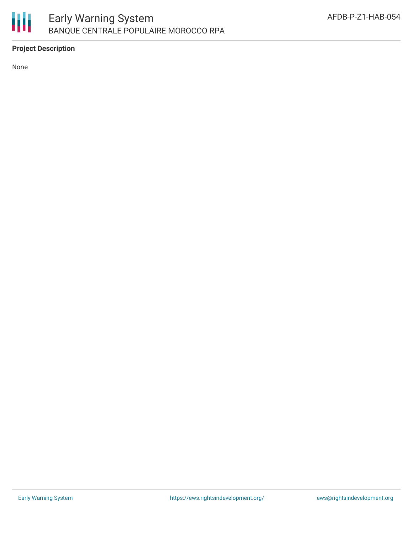

## **Project Description**

None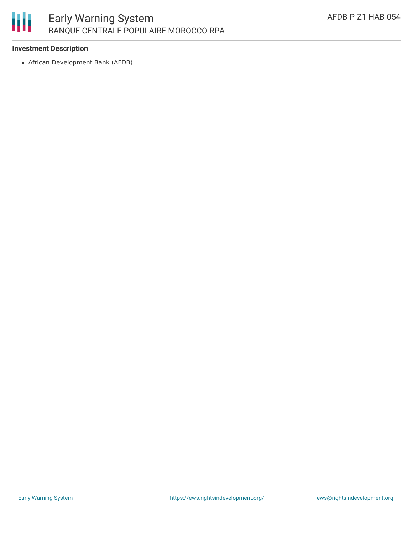

### **Investment Description**

African Development Bank (AFDB)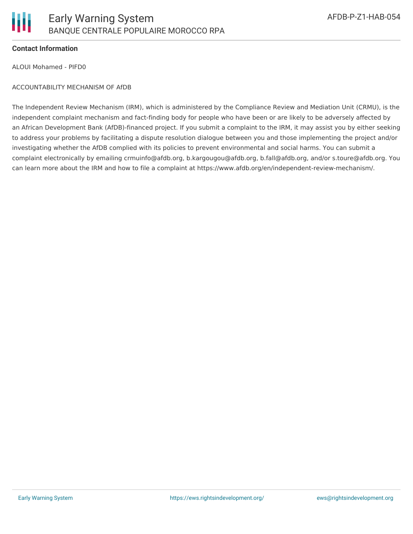

#### **Contact Information**

ALOUI Mohamed - PIFD0

#### ACCOUNTABILITY MECHANISM OF AfDB

The Independent Review Mechanism (IRM), which is administered by the Compliance Review and Mediation Unit (CRMU), is the independent complaint mechanism and fact-finding body for people who have been or are likely to be adversely affected by an African Development Bank (AfDB)-financed project. If you submit a complaint to the IRM, it may assist you by either seeking to address your problems by facilitating a dispute resolution dialogue between you and those implementing the project and/or investigating whether the AfDB complied with its policies to prevent environmental and social harms. You can submit a complaint electronically by emailing crmuinfo@afdb.org, b.kargougou@afdb.org, b.fall@afdb.org, and/or s.toure@afdb.org. You can learn more about the IRM and how to file a complaint at https://www.afdb.org/en/independent-review-mechanism/.